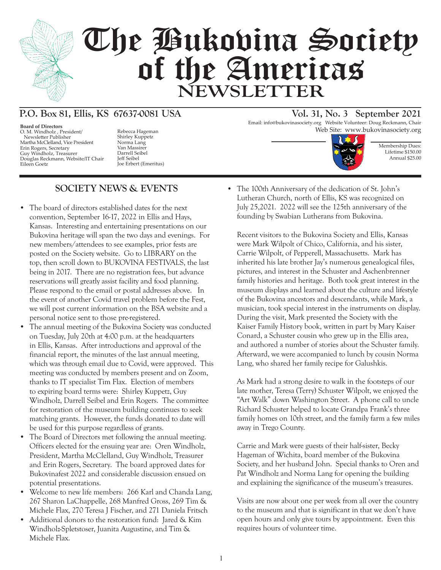

# The Bukovina Society of the Americas **NEWSLETTER**

# **P.O. Box 81, Ellis, KS 67637-0081 USA Vol. 31, No. 3 September 2021**

**Board of Directors** O. M. Windholz , President/ Newsletter Publisher Martha McClelland, Vice President Erin Rogers, Secretary Guy Windholz, Treasurer Douglas Reckmann, Website/IT Chair Eileen Goetz

Shirley Kuppetz Norma Lang Van Massirer Darrell Seibel Jeff Seibel Joe Erbert (Emeritus)

# **SOCIETY NEWS & EVENTS**

- The board of directors established dates for the next convention, September 16-17, 2022 in Ellis and Hays, Kansas. Interesting and entertaining presentations on our Bukovina heritage will span the two days and evenings. For new members/attendees to see examples, prior fests are posted on the Society website. Go to LIBRARY on the top, then scroll down to BUKOVINA FESTIVALS, the last being in 2017. There are no registration fees, but advance reservations will greatly assist facility and food planning. Please respond to the email or postal addresses above. In the event of another Covid travel problem before the Fest, we will post current information on the BSA website and a personal notice sent to those pre-registered.
- The annual meeting of the Bukovina Society was conducted on Tuesday, July 20th at 4:00 p.m. at the headquarters in Ellis, Kansas. After introductions and approval of the financial report, the minutes of the last annual meeting, which was through email due to Covid, were approved. This meeting was conducted by members present and on Zoom, thanks to IT specialist Tim Flax. Election of members to expiring board terms were: Shirley Kuppetz, Guy Windholz, Darrell Seibel and Erin Rogers. The committee for restoration of the museum building continues to seek matching grants. However, the funds donated to date will be used for this purpose regardless of grants.
- The Board of Directors met following the annual meeting. Officers elected for the ensuing year are: Oren Windholz, President, Martha McClelland, Guy Windholz, Treasurer and Erin Rogers, Secretary. The board approved dates for Bukovinafest 2022 and considerable discussion ensued on potential presentations.
- Welcome to new life members: 266 Karl and Chanda Lang. 267 Sharon LaChappelle, 268 Manfred Gross, 269 Tim & Michele Flax, 270 Teresa J Fischer, and 271 Daniela Fritsch
- Additional donors to the restoration fund: Jared & Kim Windholz-Spletstoser, Juanita Augustine, and Tim & Michele Flax.

Email: info@bukovinasociety.org Website Volunteer: Doug Reckmann, Chair Rebecca Hageman **Web Site:** www.bukovinasociety.org



Membership Dues: Lifetime \$150.00 Annual \$25.00

• The 100th Anniversary of the dedication of St. John's Lutheran Church, north of Ellis, KS was recognized on July 25,2021. 2022 will see the 125th anniversary of the founding by Swabian Lutherans from Bukovina.

Recent visitors to the Bukovina Society and Ellis, Kansas were Mark Wilpolt of Chico, California, and his sister, Carrie Wilpolt, of Pepperell, Massachusetts. Mark has inherited his late brother Jay's numerous genealogical files, pictures, and interest in the Schuster and Aschenbrenner family histories and heritage. Both took great interest in the museum displays and learned about the culture and lifestyle of the Bukovina ancestors and descendants, while Mark, a musician, took special interest in the instruments on display. During the visit, Mark presented the Society with the Kaiser Family History book, written in part by Mary Kaiser Conard, a Schuster cousin who grew up in the Ellis area, and authored a number of stories about the Schuster family. Afterward, we were accompanied to lunch by cousin Norma Lang, who shared her family recipe for Galushkis.

As Mark had a strong desire to walk in the footsteps of our late mother, Teresa (Terry) Schuster Wilpolt, we enjoyed the "Art Walk" down Washington Street. A phone call to uncle Richard Schuster helped to locate Grandpa Frank's three family homes on 10th street, and the family farm a few miles away in Trego County.

Carrie and Mark were guests of their half-sister, Becky Hageman of Wichita, board member of the Bukovina Society, and her husband John. Special thanks to Oren and Pat Windholz and Norma Lang for opening the building and explaining the significance of the museum's treasures.

Visits are now about one per week from all over the country to the museum and that is significant in that we don't have open hours and only give tours by appointment. Even this requires hours of volunteer time.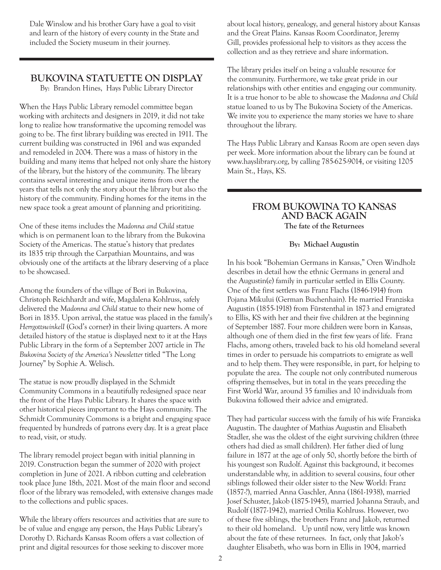Dale Winslow and his brother Gary have a goal to visit and learn of the history of every county in the State and included the Society museum in their journey.

### **BUKOVINA STATUETTE ON DISPLAY**

By: Brandon Hines, Hays Public Library Director

When the Hays Public Library remodel committee began working with architects and designers in 2019, it did not take long to realize how transformative the upcoming remodel was going to be. The first library building was erected in 1911. The current building was constructed in 1961 and was expanded and remodeled in 2004. There was a mass of history in the building and many items that helped not only share the history of the library, but the history of the community. The library contains several interesting and unique items from over the years that tells not only the story about the library but also the history of the community. Finding homes for the items in the new space took a great amount of planning and prioritizing.

One of these items includes the *Madonna and Child* statue which is on permanent loan to the library from the Bukovina Society of the Americas. The statue's history that predates its 1835 trip through the Carpathian Mountains, and was obviously one of the artifacts at the library deserving of a place to be showcased.

Among the founders of the village of Bori in Bukovina, Christoph Reichhardt and wife, Magdalena Kohlruss, safely delivered the *Madonna and Child* statue to their new home of Bori in 1835. Upon arrival, the statue was placed in the family's *HerrgottswinkelI* (God's corner) in their living quarters. A more detailed history of the statue is displayed next to it at the Hays Public Library in the form of a September 2007 article in *The Bukovina Society of the America's Newsletter* titled "The Long Journey" by Sophie A. Welisch.

The statue is now proudly displayed in the Schmidt Community Commons in a beautifully redesigned space near the front of the Hays Public Library. It shares the space with other historical pieces important to the Hays community. The Schmidt Community Commons is a bright and engaging space frequented by hundreds of patrons every day. It is a great place to read, visit, or study.

The library remodel project began with initial planning in 2019. Construction began the summer of 2020 with project completion in June of 2021. A ribbon cutting and celebration took place June 18th, 2021. Most of the main floor and second floor of the library was remodeled, with extensive changes made to the collections and public spaces.

While the library offers resources and activities that are sure to be of value and engage any person, the Hays Public Library's Dorothy D. Richards Kansas Room offers a vast collection of print and digital resources for those seeking to discover more

about local history, genealogy, and general history about Kansas and the Great Plains. Kansas Room Coordinator, Jeremy Gill, provides professional help to visitors as they access the collection and as they retrieve and share information.

The library prides itself on being a valuable resource for the community. Furthermore, we take great pride in our relationships with other entities and engaging our community. It is a true honor to be able to showcase the *Madonna and Child* statue loaned to us by The Bukovina Society of the Americas. We invite you to experience the many stories we have to share throughout the library.

The Hays Public Library and Kansas Room are open seven days per week. More information about the library can be found at www.hayslibrary.org, by calling 785-625-9014, or visiting 1205 Main St., Hays, KS.

### **FROM BUKOWINA TO KANSAS AND BACK AGAIN The fate of the Returnees**

### **By: Michael Augustin**

In his book "Bohemian Germans in Kansas," Oren Windholz describes in detail how the ethnic Germans in general and the Augustin(e) family in particular settled in Ellis County. One of the first settlers was Franz Flachs (1846-1914) from Pojana Mikului (German Buchenhain). He married Franziska Augustin (1855-1918) from Fürstenthal in 1873 and emigrated to Ellis, KS with her and their five children at the beginning of September 1887. Four more children were born in Kansas, although one of them died in the first few years of life. Franz Flachs, among others, traveled back to his old homeland several times in order to persuade his compatriots to emigrate as well and to help them. They were responsible, in part, for helping to populate the area. The couple not only contributed numerous offspring themselves, but in total in the years preceding the First World War, around 35 families and 10 individuals from Bukovina followed their advice and emigrated.

They had particular success with the family of his wife Franziska Augustin. The daughter of Mathias Augustin and Elisabeth Stadler, she was the oldest of the eight surviving children (three others had died as small children). Her father died of lung failure in 1877 at the age of only 50, shortly before the birth of his youngest son Rudolf. Against this background, it becomes understandable why, in addition to several cousins, four other siblings followed their older sister to the New World: Franz (1857-?), married Anna Gaschler, Anna (1861-1938), married Josef Schuster, Jakob (1875-1945), married Johanna Straub, and Rudolf (1877-1942), married Ottilia Kohlruss. However, two of these five siblings, the brothers Franz and Jakob, returned to their old homeland. Up until now, very little was known about the fate of these returnees. In fact, only that Jakob's daughter Elisabeth, who was born in Ellis in 1904, married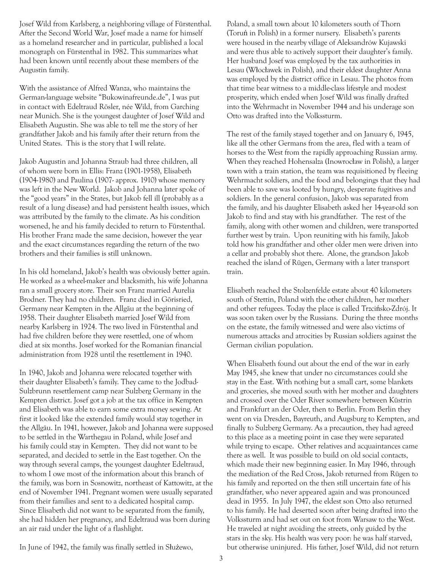Josef Wild from Karlsberg, a neighboring village of Fürstenthal. After the Second World War, Josef made a name for himself as a homeland researcher and in particular, published a local monograph on Fürstenthal in 1982. This summarizes what had been known until recently about these members of the Augustin family.

With the assistance of Alfred Wanza, who maintains the German-language website "Bukowinafreunde.de", I was put in contact with Edeltraud Rösler, née Wild, from Garching near Munich. She is the youngest daughter of Josef Wild and Elisabeth Augustin. She was able to tell me the story of her grandfather Jakob and his family after their return from the United States. This is the story that I will relate.

Jakob Augustin and Johanna Straub had three children, all of whom were born in Ellis: Franz (1901-1958), Elisabeth (1904-1980) and Paulina (1907- approx. 1910) whose memory was left in the New World. Jakob and Johanna later spoke of the "good years" in the States, but Jakob fell ill (probably as a result of a lung disease) and had persistent health issues, which was attributed by the family to the climate. As his condition worsened, he and his family decided to return to Fürstenthal. His brother Franz made the same decision, however the year and the exact circumstances regarding the return of the two brothers and their families is still unknown.

In his old homeland, Jakob's health was obviously better again. He worked as a wheel-maker and blacksmith, his wife Johanna ran a small grocery store. Their son Franz married Aurelia Brodner. They had no children. Franz died in Görisried, Germany near Kempten in the Allgäu at the beginning of 1958. Their daughter Elisabeth married Josef Wild from nearby Karlsberg in 1924. The two lived in Fürstenthal and had five children before they were resettled, one of whom died at six months. Josef worked for the Romanian financial administration from 1928 until the resettlement in 1940.

In 1940, Jakob and Johanna were relocated together with their daughter Elisabeth's family. They came to the Jodbad-Sulzbrunn resettlement camp near Sulzberg Germany in the Kempten district. Josef got a job at the tax office in Kempten and Elisabeth was able to earn some extra money sewing. At first it looked like the extended family would stay together in the Allgäu. In 1941, however, Jakob and Johanna were supposed to be settled in the Warthegau in Poland, while Josef and his family could stay in Kempten. They did not want to be separated, and decided to settle in the East together. On the way through several camps, the youngest daughter Edeltraud, to whom I owe most of the information about this branch of the family, was born in Sosnowitz, northeast of Kattowitz, at the end of November 1941. Pregnant women were usually separated from their families and sent to a dedicated hospital camp. Since Elisabeth did not want to be separated from the family, she had hidden her pregnancy, and Edeltraud was born during an air raid under the light of a flashlight.

Poland, a small town about 10 kilometers south of Thorn (Toruń in Polish) in a former nursery. Elisabeth's parents were housed in the nearby village of Aleksandrów Kujawski and were thus able to actively support their daughter's family. Her husband Josef was employed by the tax authorities in Lesau (Włocławek in Polish), and their eldest daughter Anna was employed by the district office in Lesau. The photos from that time bear witness to a middle-class lifestyle and modest prosperity, which ended when Josef Wild was finally drafted into the Wehrmacht in November 1944 and his underage son Otto was drafted into the Volkssturm.

The rest of the family stayed together and on January 6, 1945, like all the other Germans from the area, fled with a team of horses to the West from the rapidly approaching Russian army. When they reached Hohensalza (Inowrocław in Polish), a larger town with a train station, the team was requisitioned by fleeing Wehrmacht soldiers, and the food and belongings that they had been able to save was looted by hungry, desperate fugitives and soldiers. In the general confusion, Jakob was separated from the family, and his daughter Elisabeth asked her 14-year-old son Jakob to find and stay with his grandfather. The rest of the family, along with other women and children, were transported further west by train. Upon reuniting with his family, Jakob told how his grandfather and other older men were driven into a cellar and probably shot there. Alone, the grandson Jakob reached the island of Rügen, Germany with a later transport train.

Elisabeth reached the Stolzenfelde estate about 40 kilometers south of Stettin, Poland with the other children, her mother and other refugees. Today the place is called Trzcińsko-Zdrój. It was soon taken over by the Russians. During the three months on the estate, the family witnessed and were also victims of numerous attacks and atrocities by Russian soldiers against the German civilian population.

When Elisabeth found out about the end of the war in early May 1945, she knew that under no circumstances could she stay in the East. With nothing but a small cart, some blankets and groceries, she moved south with her mother and daughters and crossed over the Oder River somewhere between Küstrin and Frankfurt an der Oder, then to Berlin. From Berlin they went on via Dresden, Bayreuth, and Augsburg to Kempten, and finally to Sulzberg Germany. As a precaution, they had agreed to this place as a meeting point in case they were separated while trying to escape. Other relatives and acquaintances came there as well. It was possible to build on old social contacts, which made their new beginning easier. In May 1946, through the mediation of the Red Cross, Jakob returned from Rügen to his family and reported on the then still uncertain fate of his grandfather, who never appeared again and was pronounced dead in 1955. In July 1947, the eldest son Otto also returned to his family. He had deserted soon after being drafted into the Volkssturm and had set out on foot from Warsaw to the West. He traveled at night avoiding the streets, only guided by the stars in the sky. His health was very poor: he was half starved, but otherwise uninjured. His father, Josef Wild, did not return

In June of 1942, the family was finally settled in Służewo,